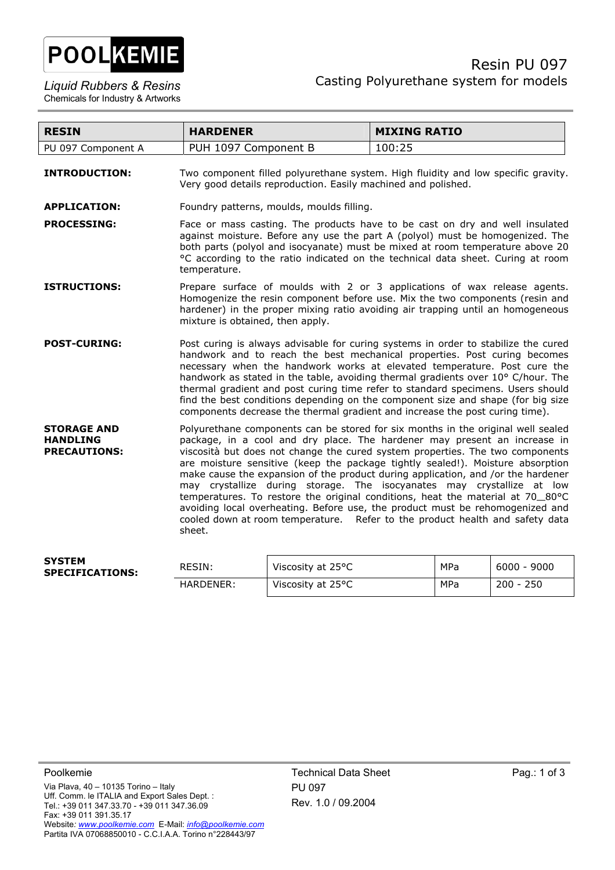

| <b>RESIN</b>                                                 | <b>HARDENER</b>                                                                                                                                                                                                                                                                                                                                                                                                                                                                                                                                                                                                                                                                                                                                             | <b>MIXING RATIO</b>                                                                                                                                                                                                                                                                                                                                                                                                                                                                                    |  |
|--------------------------------------------------------------|-------------------------------------------------------------------------------------------------------------------------------------------------------------------------------------------------------------------------------------------------------------------------------------------------------------------------------------------------------------------------------------------------------------------------------------------------------------------------------------------------------------------------------------------------------------------------------------------------------------------------------------------------------------------------------------------------------------------------------------------------------------|--------------------------------------------------------------------------------------------------------------------------------------------------------------------------------------------------------------------------------------------------------------------------------------------------------------------------------------------------------------------------------------------------------------------------------------------------------------------------------------------------------|--|
| PU 097 Component A                                           | PUH 1097 Component B                                                                                                                                                                                                                                                                                                                                                                                                                                                                                                                                                                                                                                                                                                                                        | 100:25                                                                                                                                                                                                                                                                                                                                                                                                                                                                                                 |  |
| <b>INTRODUCTION:</b>                                         | Two component filled polyurethane system. High fluidity and low specific gravity.<br>Very good details reproduction. Easily machined and polished.                                                                                                                                                                                                                                                                                                                                                                                                                                                                                                                                                                                                          |                                                                                                                                                                                                                                                                                                                                                                                                                                                                                                        |  |
| <b>APPLICATION:</b>                                          | Foundry patterns, moulds, moulds filling.                                                                                                                                                                                                                                                                                                                                                                                                                                                                                                                                                                                                                                                                                                                   |                                                                                                                                                                                                                                                                                                                                                                                                                                                                                                        |  |
| <b>PROCESSING:</b>                                           | temperature.                                                                                                                                                                                                                                                                                                                                                                                                                                                                                                                                                                                                                                                                                                                                                | Face or mass casting. The products have to be cast on dry and well insulated<br>against moisture. Before any use the part A (polyol) must be homogenized. The<br>both parts (polyol and isocyanate) must be mixed at room temperature above 20<br>°C according to the ratio indicated on the technical data sheet. Curing at room                                                                                                                                                                      |  |
| <b>ISTRUCTIONS:</b>                                          | Prepare surface of moulds with 2 or 3 applications of wax release agents.<br>Homogenize the resin component before use. Mix the two components (resin and<br>hardener) in the proper mixing ratio avoiding air trapping until an homogeneous<br>mixture is obtained, then apply.                                                                                                                                                                                                                                                                                                                                                                                                                                                                            |                                                                                                                                                                                                                                                                                                                                                                                                                                                                                                        |  |
| <b>POST-CURING:</b>                                          | components decrease the thermal gradient and increase the post curing time).                                                                                                                                                                                                                                                                                                                                                                                                                                                                                                                                                                                                                                                                                | Post curing is always advisable for curing systems in order to stabilize the cured<br>handwork and to reach the best mechanical properties. Post curing becomes<br>necessary when the handwork works at elevated temperature. Post cure the<br>handwork as stated in the table, avoiding thermal gradients over 10° C/hour. The<br>thermal gradient and post curing time refer to standard specimens. Users should<br>find the best conditions depending on the component size and shape (for big size |  |
| <b>STORAGE AND</b><br><b>HANDLING</b><br><b>PRECAUTIONS:</b> | Polyurethane components can be stored for six months in the original well sealed<br>package, in a cool and dry place. The hardener may present an increase in<br>viscosità but does not change the cured system properties. The two components<br>are moisture sensitive (keep the package tightly sealed!). Moisture absorption<br>make cause the expansion of the product during application, and /or the hardener<br>may crystallize during storage. The isocyanates may crystallize at low<br>temperatures. To restore the original conditions, heat the material at 70_80°C<br>avoiding local overheating. Before use, the product must be rehomogenized and<br>cooled down at room temperature. Refer to the product health and safety data<br>sheet. |                                                                                                                                                                                                                                                                                                                                                                                                                                                                                                        |  |
|                                                              |                                                                                                                                                                                                                                                                                                                                                                                                                                                                                                                                                                                                                                                                                                                                                             |                                                                                                                                                                                                                                                                                                                                                                                                                                                                                                        |  |

| <b>SYSTEM</b><br><b>SPECIFICATIONS:</b> | RESIN:    | Viscosity at 25°C | MPa | $6000 - 9000$ |
|-----------------------------------------|-----------|-------------------|-----|---------------|
|                                         | HARDENER: | Viscosity at 25°C | MPa | $200 - 250$   |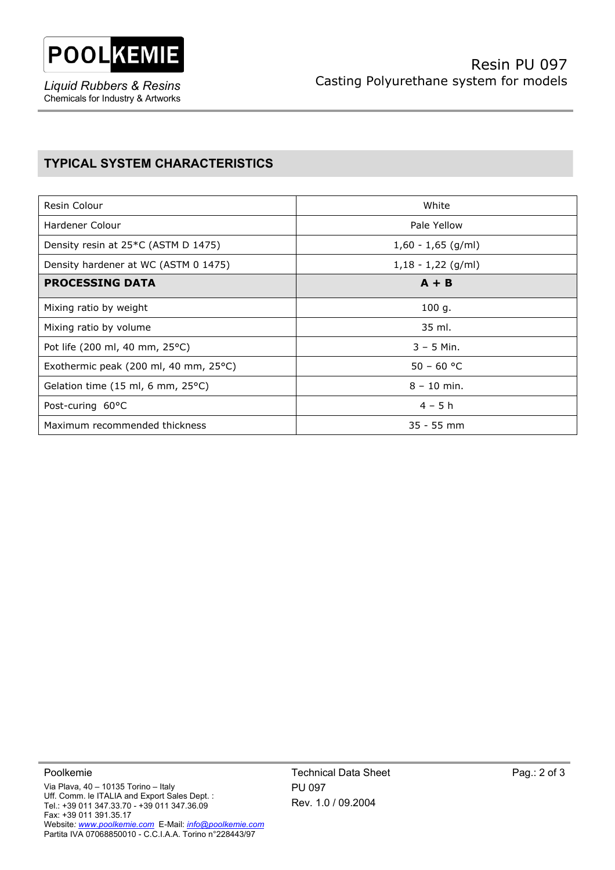

*Liquid Rubbers & Resins*  Chemicals for Industry & Artworks

## **TYPICAL SYSTEM CHARACTERISTICS**

| Resin Colour                                     | White                |  |
|--------------------------------------------------|----------------------|--|
| Hardener Colour                                  | Pale Yellow          |  |
| Density resin at 25 <sup>*</sup> C (ASTM D 1475) | $1,60 - 1,65$ (g/ml) |  |
| Density hardener at WC (ASTM 0 1475)             | $1,18 - 1,22$ (g/ml) |  |
| <b>PROCESSING DATA</b>                           | $A + B$              |  |
| Mixing ratio by weight                           | 100 g.               |  |
| Mixing ratio by volume                           | 35 ml.               |  |
| Pot life (200 ml, 40 mm, 25°C)                   | $3 - 5$ Min.         |  |
| Exothermic peak (200 ml, 40 mm, 25°C)            | $50 - 60 °C$         |  |
| Gelation time (15 ml, 6 mm, 25°C)                | $8 - 10$ min.        |  |
| Post-curing 60°C                                 | $4 - 5h$             |  |
| Maximum recommended thickness                    | $35 - 55$ mm         |  |